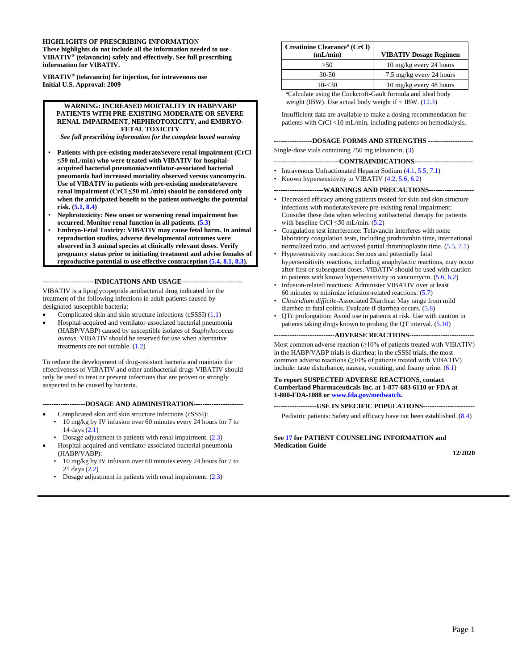#### **HIGHLIGHTS OF PRESCRIBING INFORMATION**

**These highlights do not include all the information needed to use VIBATIV® (telavancin) safely and effectively. See full prescribing information for VIBATIV.**

**VIBATIV® (telavancin) for injection, for intravenous use Initial U.S. Approval: 2009**

#### **WARNING: INCREASED MORTALITY IN HABP/VABP PATIENTS WITH PRE-EXISTING MODERATE OR SEVERE RENAL IMPAIRMENT, NEPHROTOXICITY, and EMBRYO-FETAL TOXICITY**

*See full prescribing information for the complete boxed warning*

- **Patients with pre-existing moderate/severe renal impairment (CrCl ≤50 mL/min) who were treated with VIBATIV for hospitalacquired bacterial pneumonia/ventilator-associated bacterial pneumonia had increased mortality observed versus vancomycin. Use of VIBATIV in patients with pre-existing moderate/severe renal impairment (CrCl ≤50 mL/min) should be considered only when the anticipated benefit to the patient outweighs the potential risk. [\(5.1,](#page-4-0) [8.4\)](#page-10-0)**
- **Nephrotoxicity: New onset or worsening renal impairment has occurred. Monitor renal function in all patients. [\(5.3\)](#page-4-1)**
- **Embryo-Fetal Toxicity: VIBATIV may cause fetal harm. In animal reproduction studies, adverse developmental outcomes were observed in 3 animal species at clinically relevant doses. Verify pregnancy status prior to initiating treatment and advise females of reproductive potential to use effective contraception [\(5.4,](#page-5-0) [8.1,](#page-9-0) [8.3\)](#page-10-1).**

**-----------------------INDICATIONS AND USAGE---------------------------**

VIBATIV is a lipoglycopeptide antibacterial drug indicated for the treatment of the following infections in adult patients caused by designated susceptible bacteria:

- Complicated skin and skin structure infections (cSSSI) [\(1.1\)](#page-2-0)
- Hospital-acquired and ventilator-associated bacterial pneumonia (HABP/VABP) caused by susceptible isolates of *Staphylococcus aureus*. VIBATIV should be reserved for use when alternative treatments are not suitable. [\(1.2\)](#page-2-1)

To reduce the development of drug-resistant bacteria and maintain the effectiveness of VIBATIV and other antibacterial drugs VIBATIV should only be used to treat or prevent infections that are proven or strongly suspected to be caused by bacteria.

**-------------------DOSAGE AND ADMINISTRATION----------------------**

- Complicated skin and skin structure infections (cSSSI):
- 10 mg/kg by IV infusion over 60 minutes every 24 hours for 7 to 14 days [\(2.1\)](#page-2-2)
- Dosage adjustment in patients with renal impairment. [\(2.3\)](#page-3-0)
- Hospital-acquired and ventilator-associated bacterial pneumonia (HABP/VABP):
	- 10 mg/kg by IV infusion over 60 minutes every 24 hours for 7 to 21 days [\(2.2\)](#page-3-1)
- Dosage adjustment in patients with renal impairment. [\(2.3\)](#page-3-0)

| Creatinine Clearance <sup>a</sup> (CrCl)<br>(mL/min) | <b>VIBATIV Dosage Regimen</b> |
|------------------------------------------------------|-------------------------------|
| >50                                                  | 10 mg/kg every 24 hours       |
| $30-50$                                              | 7.5 mg/kg every 24 hours      |
| $10 - 30$                                            | 10 mg/kg every 48 hours       |
| $30111$ $1.71010$ $1.00110$ $1.711111$               |                               |

a Calculate using the Cockcroft-Gault formula and ideal body weight (IBW). Use actual body weight if  $\langle$  IBW. [\(12.3\)](#page-13-0)

Insufficient data are available to make a dosing recommendation for patients with CrCl <10 mL/min, including patients on hemodialysis.

**-----------------DOSAGE FORMS AND STRENGTHS --------------------**

Single-dose vials containing 750 mg telavancin. [\(3\)](#page-4-2)

**-----------------------------CONTRAINDICATIONS--------------------------**

- Intravenous Unfractionated Heparin Sodium [\(4.1,](#page-4-3) [5.5,](#page-5-1) [7.1\)](#page-9-1)
- Known hypersensitivity to VIBATIV  $(4.2, 5.6, 6.2)$  $(4.2, 5.6, 6.2)$  $(4.2, 5.6, 6.2)$

**----------------------WARNINGS AND PRECAUTIONS--------------------**

- Decreased efficacy among patients treated for skin and skin structure infections with moderate/severe pre-existing renal impairment: Consider these data when selecting antibacterial therapy for patients with baseline CrCl ≤50 mL/min. [\(5.2\)](#page-4-5)
- Coagulation test interference: Telavancin interferes with some laboratory coagulation tests, including prothrombin time, international normalized ratio, and activated partial thromboplastin time. [\(5.5,](#page-5-1) [7.1\)](#page-9-1)
- Hypersensitivity reactions: Serious and potentially fatal hypersensitivity reactions, including anaphylactic reactions, may occur after first or subsequent doses. VIBATIV should be used with caution in patients with known hypersensitivity to vancomycin. [\(5.6,](#page-5-2) [6.2\)](#page-8-0)
- Infusion-related reactions: Administer VIBATIV over at least 60 minutes to minimize infusion-related reactions. [\(5.7\)](#page-5-3)
- *Clostridium difficile*-Associated Diarrhea: May range from mild diarrhea to fatal colitis. Evaluate if diarrhea occurs. [\(5.8\)](#page-6-0)
- QTc prolongation: Avoid use in patients at risk. Use with caution in patients taking drugs known to prolong the QT interval. [\(5.10\)](#page-6-1)

--ADVERSE REACTIONS--

Most common adverse reaction (≥10% of patients treated with VIBATIV) in the HABP/VABP trials is diarrhea; in the cSSSI trials, the most common adverse reactions  $(\geq 10\%$  of patients treated with VIBATIV) include: taste disturbance, nausea, vomiting, and foamy urine. [\(6.1\)](#page-6-2)

#### **To report SUSPECTED ADVERSE REACTIONS, contact Cumberland Pharmaceuticals Inc. at 1-877-683-6110 or FDA at 1-800-FDA-1088 o[r www.fda.gov/medwatch.](http://www.fda.gov/medwatch)**

**-------------------USE IN SPECIFIC POPULATIONS-----------------------**

Pediatric patients: Safety and efficacy have not been established. [\(8.4\)](#page-10-0)

**Se[e 17](#page-19-0) for PATIENT COUNSELING INFORMATION and Medication Guide**

**12/2020**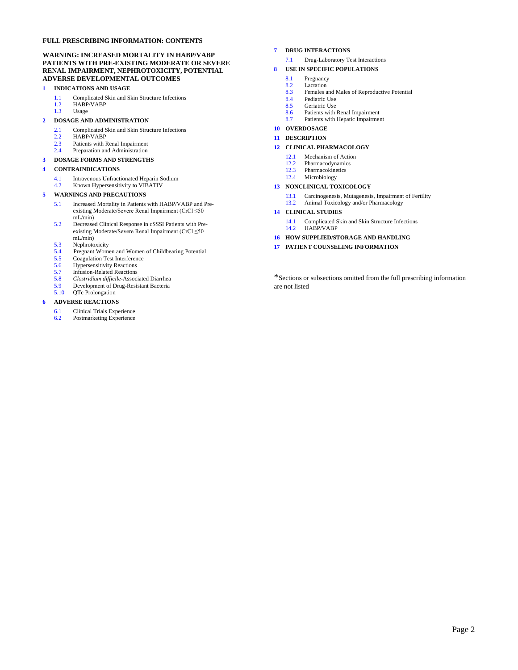#### **FULL PRESCRIBING INFORMATION: CONTENTS**

#### **WARNING: INCREASED MORTALITY IN HABP/VABP PATIENTS WITH PRE-EXISTING MODERATE OR SEVERE RENAL IMPAIRMENT, NEPHROTOXICITY, POTENTIAL ADVERSE DEVELOPMENTAL OUTCOMES**

#### **[1](#page-2-3) INDICATIONS AND USAGE**

- [1.1](#page-2-0) Complicated Skin and Skin Structure Infections<br>1.2 HABP/VABP
- HABP/VABP
- [1.3](#page-2-4) Usage

#### **[2](#page-2-5) DOSAGE AND ADMINISTRATION**

- [2.1](#page-2-2) Complicated Skin and Skin Structure Infections<br>2.2 HABP/VABP
- [2.2](#page-3-1) HABP/VABP<br>2.3 Patients with B
- [2.3](#page-3-0) Patients with Renal Impairment<br>2.4 Preparation and Administration
- Preparation and Administration

#### **[3](#page-4-2) DOSAGE FORMS AND STRENGTHS**

#### **[4](#page-4-6) CONTRAINDICATIONS**

- [4.1](#page-4-3) Intravenous Unfractionated Heparin Sodium<br>4.2 Known Hypersensitivity to VIBATIV
- Known Hypersensitivity to VIBATIV

#### **[5](#page-4-7) WARNINGS AND PRECAUTIONS**

- [5.1](#page-4-0) Increased Mortality in Patients with HABP/VABP and Preexisting Moderate/Severe Renal Impairment (CrCl ≤50  $mL/min$
- [5.2](#page-4-5) Decreased Clinical Response in cSSSI Patients with Preexisting Moderate/Severe Renal Impairment (CrCl ≤50 mL/min)
- 
- [5.3](#page-4-1) Nephrotoxicity<br>5.4 Pregnant Wome [5.4](#page-5-0) Pregnant Women and Women of Childbearing Potential
- [5.5](#page-5-1) Coagulation Test Interference<br>5.6 Hypersensitivity Reactions
- 
- [5.6](#page-5-2) Hypersensitivity Reactions<br>5.7 Infusion-Related Reactions
- [5.7](#page-5-3) Infusion-Related Reactions<br>5.8 Clostridium difficile-Associ [5.8](#page-6-0) *Clostridium difficile*-Associated Diarrhea
- [5.9](#page-6-3) Development of Drug-Resistant Bacteria<br>5.10 QTc Prolongation
- QTc Prolongation

#### **[6](#page-6-4) ADVERSE REACTIONS**

- [6.1](#page-6-2) Clinical Trials Experience
- [6.2](#page-8-0) Postmarketing Experience

#### **[7](#page-9-2) DRUG INTERACTIONS**

- [7.1](#page-9-1) Drug-Laboratory Test Interactions
- **[8](#page-9-3) USE IN SPECIFIC POPULATIONS**
	- [8.1](#page-9-0) Pregnancy
	- [8.2](#page-9-4) Lactation<br>8.3 Females a
	- [8.3](#page-10-1) Females and Males of Reproductive Potential<br>8.4 Pediatric Use
	- [8.4](#page-10-0) Pediatric Use<br>8.5 Geriatric Use
	- Geriatric Use
	- [8.6](#page-10-3) Patients with Renal Impairment<br>8.7 Patients with Henatic Impairment Patients with Hepatic Impairment
- **[10](#page-11-1) OVERDOSAGE**
- 

# **[11](#page-11-2) DESCRIPTION**

#### **[12](#page-12-0) CLINICAL PHARMACOLOGY**

- [12.1](#page-12-1) Mechanism of Action<br>12.2 Pharmacodynamics
- Pharmacodynamics
- [12.3](#page-13-0) Pharmacokinetics<br>12.4 Microbiology
- Microbiology

#### **[13](#page-16-0) NONCLINICAL TOXICOLOGY**

- [13.1](#page-16-1) Carcinogenesis, Mutagenesis, Impairment of Fertility
- [13.2](#page-16-2) Animal Toxicology and/or Pharmacology

#### **[14](#page-16-3) CLINICAL STUDIES**

- [14.1](#page-16-4) Complicated Skin and Skin Structure Infections<br>14.2 HABP/VABP HABP/VABP
- **[16](#page-19-1) HOW SUPPLIED/STORAGE AND HANDLING**
- 
- **[17](#page-19-0) PATIENT COUNSELING INFORMATION**

\*Sections or subsections omitted from the full prescribing information are not listed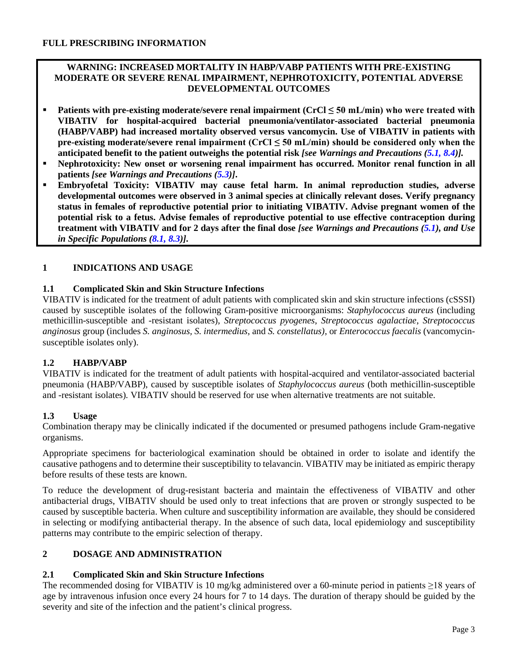## **WARNING: INCREASED MORTALITY IN HABP/VABP PATIENTS WITH PRE-EXISTING MODERATE OR SEVERE RENAL IMPAIRMENT, NEPHROTOXICITY, POTENTIAL ADVERSE DEVELOPMENTAL OUTCOMES**

- **Patients with pre-existing moderate/severe renal impairment (CrCl ≤ 50 mL/min) who were treated with VIBATIV for hospital-acquired bacterial pneumonia/ventilator-associated bacterial pneumonia (HABP/VABP) had increased mortality observed versus vancomycin. Use of VIBATIV in patients with pre-existing moderate/severe renal impairment (CrCl ≤ 50 mL/min) should be considered only when the anticipated benefit to the patient outweighs the potential risk** *[see Warnings and Precautions [\(5.1,](#page-4-0) [8.4\)](#page-10-0)].*
- **Nephrotoxicity: New onset or worsening renal impairment has occurred. Monitor renal function in all patients** *[see Warnings and Precautions [\(5.3\)](#page-4-1)]***.**
- **Embryofetal Toxicity: VIBATIV may cause fetal harm. In animal reproduction studies, adverse developmental outcomes were observed in 3 animal species at clinically relevant doses. Verify pregnancy status in females of reproductive potential prior to initiating VIBATIV. Advise pregnant women of the potential risk to a fetus. Advise females of reproductive potential to use effective contraception during treatment with VIBATIV and for 2 days after the final dose** *[see Warnings and Precautions [\(5.1\)](#page-4-0), and Use in Specific Populations [\(8.1,](#page-9-0) [8.3\)](#page-10-1)].*

# <span id="page-2-3"></span>**1 INDICATIONS AND USAGE**

# <span id="page-2-0"></span>**1.1 Complicated Skin and Skin Structure Infections**

VIBATIV is indicated for the treatment of adult patients with complicated skin and skin structure infections (cSSSI) caused by susceptible isolates of the following Gram-positive microorganisms: *Staphylococcus aureus* (including methicillin-susceptible and -resistant isolates), *Streptococcus pyogenes*, *Streptococcus agalactiae*, *Streptococcus anginosus* group (includes *S. anginosus, S. intermedius,* and *S. constellatus)*, or *Enterococcus faecalis* (vancomycinsusceptible isolates only).

# <span id="page-2-1"></span>**1.2 HABP/VABP**

VIBATIV is indicated for the treatment of adult patients with hospital-acquired and ventilator-associated bacterial pneumonia (HABP/VABP), caused by susceptible isolates of *Staphylococcus aureus* (both methicillin-susceptible and -resistant isolates)*.* VIBATIV should be reserved for use when alternative treatments are not suitable.

### <span id="page-2-4"></span>**1.3 Usage**

Combination therapy may be clinically indicated if the documented or presumed pathogens include Gram-negative organisms.

Appropriate specimens for bacteriological examination should be obtained in order to isolate and identify the causative pathogens and to determine their susceptibility to telavancin. VIBATIV may be initiated as empiric therapy before results of these tests are known.

To reduce the development of drug-resistant bacteria and maintain the effectiveness of VIBATIV and other antibacterial drugs, VIBATIV should be used only to treat infections that are proven or strongly suspected to be caused by susceptible bacteria. When culture and susceptibility information are available, they should be considered in selecting or modifying antibacterial therapy. In the absence of such data, local epidemiology and susceptibility patterns may contribute to the empiric selection of therapy.

# <span id="page-2-5"></span>**2 DOSAGE AND ADMINISTRATION**

### <span id="page-2-2"></span>**2.1 Complicated Skin and Skin Structure Infections**

The recommended dosing for VIBATIV is 10 mg/kg administered over a 60-minute period in patients ≥18 years of age by intravenous infusion once every 24 hours for 7 to 14 days. The duration of therapy should be guided by the severity and site of the infection and the patient's clinical progress.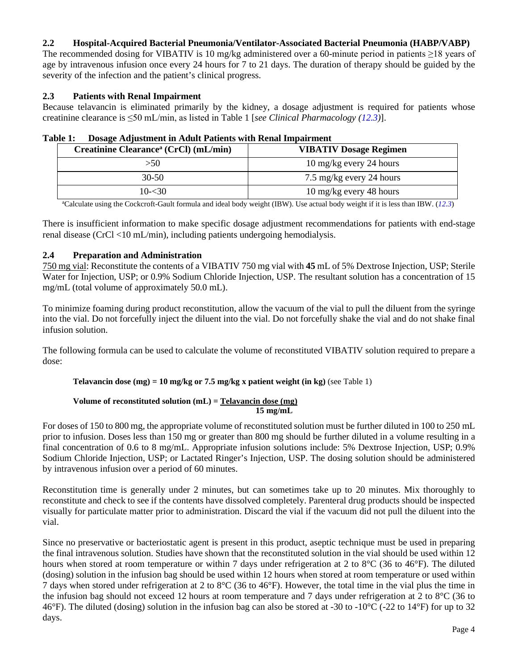## <span id="page-3-1"></span>**2.2 Hospital-Acquired Bacterial Pneumonia/Ventilator-Associated Bacterial Pneumonia (HABP/VABP)**

The recommended dosing for VIBATIV is 10 mg/kg administered over a 60-minute period in patients ≥18 years of age by intravenous infusion once every 24 hours for 7 to 21 days. The duration of therapy should be guided by the severity of the infection and the patient's clinical progress.

### <span id="page-3-0"></span>**2.3 Patients with Renal Impairment**

Because telavancin is eliminated primarily by the kidney, a dosage adjustment is required for patients whose creatinine clearance is ≤50 mL/min, as listed in Table 1 [*see Clinical Pharmacology [\(12.3\)](#page-13-0)*].

| l'able 1:<br>Dosage Adjustment in Adult Patients with Renal Impairment |                               |
|------------------------------------------------------------------------|-------------------------------|
| Creatinine Clearance <sup>a</sup> (CrCl) (mL/min)                      | <b>VIBATIV Dosage Regimen</b> |
| >50                                                                    | 10 mg/kg every 24 hours       |

| Table 1: Dosage Adjustment in Adult Patients with Renal Impairment |
|--------------------------------------------------------------------|
|                                                                    |

a Calculate using the Cockcroft-Gault formula and ideal body weight (IBW). Use actual body weight if it is less than IBW. (*[12.3](#page-13-0)*)

30-50 7.5 mg/kg every 24 hours 10-<30 10 mg/kg every 48 hours

There is insufficient information to make specific dosage adjustment recommendations for patients with end-stage renal disease (CrCl <10 mL/min), including patients undergoing hemodialysis.

### <span id="page-3-2"></span>**2.4 Preparation and Administration**

750 mg vial: Reconstitute the contents of a VIBATIV 750 mg vial with **45** mL of 5% Dextrose Injection, USP; Sterile Water for Injection, USP; or 0.9% Sodium Chloride Injection, USP. The resultant solution has a concentration of 15 mg/mL (total volume of approximately 50.0 mL).

To minimize foaming during product reconstitution, allow the vacuum of the vial to pull the diluent from the syringe into the vial. Do not forcefully inject the diluent into the vial. Do not forcefully shake the vial and do not shake final infusion solution.

The following formula can be used to calculate the volume of reconstituted VIBATIV solution required to prepare a dose:

### **Telavancin dose (mg) = 10 mg/kg or 7.5 mg/kg x patient weight (in kg)** (see Table 1)

#### **Volume of reconstituted solution (mL) = Telavancin dose (mg) 15 mg/mL**

For doses of 150 to 800 mg, the appropriate volume of reconstituted solution must be further diluted in 100 to 250 mL prior to infusion. Doses less than 150 mg or greater than 800 mg should be further diluted in a volume resulting in a final concentration of 0.6 to 8 mg/mL. Appropriate infusion solutions include: 5% Dextrose Injection, USP; 0.9% Sodium Chloride Injection, USP; or Lactated Ringer's Injection, USP. The dosing solution should be administered by intravenous infusion over a period of 60 minutes.

Reconstitution time is generally under 2 minutes, but can sometimes take up to 20 minutes. Mix thoroughly to reconstitute and check to see if the contents have dissolved completely. Parenteral drug products should be inspected visually for particulate matter prior to administration. Discard the vial if the vacuum did not pull the diluent into the vial.

Since no preservative or bacteriostatic agent is present in this product, aseptic technique must be used in preparing the final intravenous solution. Studies have shown that the reconstituted solution in the vial should be used within 12 hours when stored at room temperature or within 7 days under refrigeration at 2 to 8°C (36 to 46°F). The diluted (dosing) solution in the infusion bag should be used within 12 hours when stored at room temperature or used within 7 days when stored under refrigeration at 2 to 8°C (36 to 46°F). However, the total time in the vial plus the time in the infusion bag should not exceed 12 hours at room temperature and 7 days under refrigeration at 2 to 8°C (36 to 46°F). The diluted (dosing) solution in the infusion bag can also be stored at -30 to -10°C (-22 to 14°F) for up to 32 days.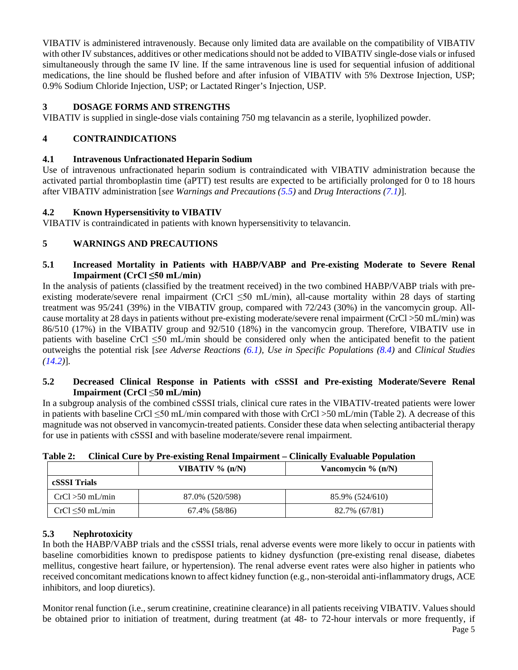VIBATIV is administered intravenously. Because only limited data are available on the compatibility of VIBATIV with other IV substances, additives or other medications should not be added to VIBATIV single-dose vials or infused simultaneously through the same IV line. If the same intravenous line is used for sequential infusion of additional medications, the line should be flushed before and after infusion of VIBATIV with 5% Dextrose Injection, USP; 0.9% Sodium Chloride Injection, USP; or Lactated Ringer's Injection, USP.

# <span id="page-4-2"></span>**3 DOSAGE FORMS AND STRENGTHS**

VIBATIV is supplied in single-dose vials containing 750 mg telavancin as a sterile, lyophilized powder.

# <span id="page-4-6"></span>**4 CONTRAINDICATIONS**

# <span id="page-4-3"></span>**4.1 Intravenous Unfractionated Heparin Sodium**

Use of intravenous unfractionated heparin sodium is contraindicated with VIBATIV administration because the activated partial thromboplastin time (aPTT) test results are expected to be artificially prolonged for 0 to 18 hours after VIBATIV administration [*see Warnings and Precautions [\(5.5\)](#page-5-1)* and *Drug Interactions [\(7.1\)](#page-9-1)*].

# <span id="page-4-4"></span>**4.2 Known Hypersensitivity to VIBATIV**

VIBATIV is contraindicated in patients with known hypersensitivity to telavancin.

# <span id="page-4-7"></span>**5 WARNINGS AND PRECAUTIONS**

# <span id="page-4-0"></span>**5.1 Increased Mortality in Patients with HABP/VABP and Pre-existing Moderate to Severe Renal Impairment (CrCl ≤50 mL/min)**

In the analysis of patients (classified by the treatment received) in the two combined HABP/VABP trials with preexisting moderate/severe renal impairment (CrCl <50 mL/min), all-cause mortality within 28 days of starting treatment was 95/241 (39%) in the VIBATIV group, compared with 72/243 (30%) in the vancomycin group. Allcause mortality at 28 days in patients without pre-existing moderate/severe renal impairment (CrCl >50 mL/min) was 86/510 (17%) in the VIBATIV group and 92/510 (18%) in the vancomycin group. Therefore, VIBATIV use in patients with baseline CrCl ≤50 mL/min should be considered only when the anticipated benefit to the patient outweighs the potential risk [*see Adverse Reactions [\(6.1\)](#page-6-2), Use in Specific Populations [\(8.4\)](#page-10-0)* and *Clinical Studies [\(14.2\)](#page-18-0)*]*.*

# <span id="page-4-5"></span>**5.2 Decreased Clinical Response in Patients with cSSSI and Pre-existing Moderate/Severe Renal Impairment (CrCl** ≤**50 mL/min)**

In a subgroup analysis of the combined cSSSI trials, clinical cure rates in the VIBATIV-treated patients were lower in patients with baseline CrCl ≤50 mL/min compared with those with CrCl >50 mL/min (Table 2). A decrease of this magnitude was not observed in vancomycin-treated patients. Consider these data when selecting antibacterial therapy for use in patients with cSSSI and with baseline moderate/severe renal impairment.

| .                     | Chinema Cure o , Fre empenis rechain millione | $\sim$               |
|-----------------------|-----------------------------------------------|----------------------|
|                       | VIBATIV $\%$ (n/N)                            | Vancomycin $% (n/N)$ |
| cSSSI Trials          |                                               |                      |
| $CrCl > 50$ mL/min    | 87.0% (520/598)                               | 85.9% (524/610)      |
| $CrCl \leq 50$ mL/min | 67.4% (58/86)                                 | 82.7% (67/81)        |

**Table 2: Clinical Cure by Pre-existing Renal Impairment – Clinically Evaluable Population**

# <span id="page-4-1"></span>**5.3 Nephrotoxicity**

In both the HABP/VABP trials and the cSSSI trials, renal adverse events were more likely to occur in patients with baseline comorbidities known to predispose patients to kidney dysfunction (pre-existing renal disease, diabetes mellitus, congestive heart failure, or hypertension). The renal adverse event rates were also higher in patients who received concomitant medications known to affect kidney function (e.g., non-steroidal anti-inflammatory drugs, ACE inhibitors, and loop diuretics).

Monitor renal function (i.e., serum creatinine, creatinine clearance) in all patients receiving VIBATIV. Values should be obtained prior to initiation of treatment, during treatment (at 48- to 72-hour intervals or more frequently, if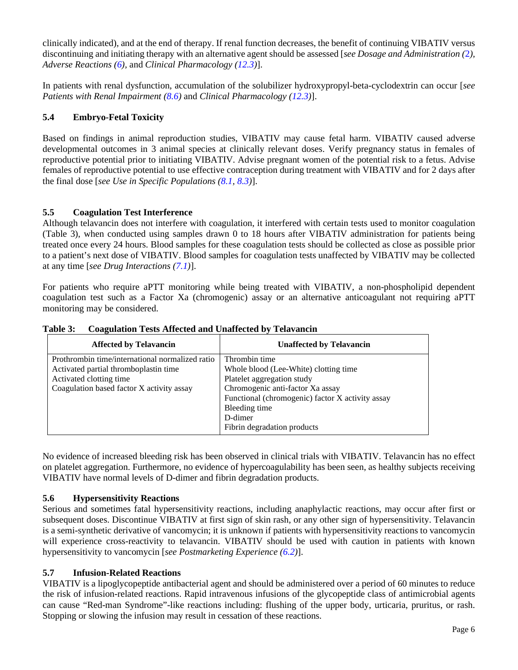clinically indicated), and at the end of therapy. If renal function decreases, the benefit of continuing VIBATIV versus discontinuing and initiating therapy with an alternative agent should be assessed [*see Dosage and Administration (*[2](#page-2-5)*), Adverse Reactions [\(6\)](#page-6-4),* and *Clinical Pharmacology [\(12.3\)](#page-13-0)*].

In patients with renal dysfunction, accumulation of the solubilizer hydroxypropyl-beta-cyclodextrin can occur [*see Patients with Renal Impairment [\(8.6\)](#page-10-3)* and *Clinical Pharmacology [\(12.3\)](#page-13-0)*].

# <span id="page-5-0"></span>**5.4 Embryo-Fetal Toxicity**

Based on findings in animal reproduction studies, VIBATIV may cause fetal harm. VIBATIV caused adverse developmental outcomes in 3 animal species at clinically relevant doses. Verify pregnancy status in females of reproductive potential prior to initiating VIBATIV. Advise pregnant women of the potential risk to a fetus. Advise females of reproductive potential to use effective contraception during treatment with VIBATIV and for 2 days after the final dose [*see Use in Specific Populations [\(8.1,](#page-9-0) [8.3\)](#page-10-1)*].

# <span id="page-5-1"></span>**5.5 Coagulation Test Interference**

Although telavancin does not interfere with coagulation, it interfered with certain tests used to monitor coagulation (Table 3), when conducted using samples drawn 0 to 18 hours after VIBATIV administration for patients being treated once every 24 hours. Blood samples for these coagulation tests should be collected as close as possible prior to a patient's next dose of VIBATIV. Blood samples for coagulation tests unaffected by VIBATIV may be collected at any time [*see Drug Interactions [\(7.1\)](#page-9-1)*].

For patients who require aPTT monitoring while being treated with VIBATIV, a non-phospholipid dependent coagulation test such as a Factor Xa (chromogenic) assay or an alternative anticoagulant not requiring aPTT monitoring may be considered.

| <b>Affected by Telavancin</b>                   | <b>Unaffected by Telavancin</b>                  |
|-------------------------------------------------|--------------------------------------------------|
| Prothrombin time/international normalized ratio | Thrombin time                                    |
| Activated partial thromboplastin time           | Whole blood (Lee-White) clotting time            |
| Activated clotting time                         | Platelet aggregation study                       |
| Coagulation based factor X activity assay       | Chromogenic anti-factor Xa assay                 |
|                                                 | Functional (chromogenic) factor X activity assay |
|                                                 | Bleeding time                                    |
|                                                 | D-dimer                                          |
|                                                 | Fibrin degradation products                      |

**Table 3: Coagulation Tests Affected and Unaffected by Telavancin**

No evidence of increased bleeding risk has been observed in clinical trials with VIBATIV. Telavancin has no effect on platelet aggregation. Furthermore, no evidence of hypercoagulability has been seen, as healthy subjects receiving VIBATIV have normal levels of D-dimer and fibrin degradation products.

# <span id="page-5-2"></span>**5.6 Hypersensitivity Reactions**

Serious and sometimes fatal hypersensitivity reactions, including anaphylactic reactions, may occur after first or subsequent doses. Discontinue VIBATIV at first sign of skin rash, or any other sign of hypersensitivity. Telavancin is a semi-synthetic derivative of vancomycin; it is unknown if patients with hypersensitivity reactions to vancomycin will experience cross-reactivity to telavancin. VIBATIV should be used with caution in patients with known hypersensitivity to vancomycin [*see Postmarketing Experience [\(6.2\)](#page-8-0)*].

# <span id="page-5-3"></span>**5.7 Infusion-Related Reactions**

VIBATIV is a lipoglycopeptide antibacterial agent and should be administered over a period of 60 minutes to reduce the risk of infusion-related reactions. Rapid intravenous infusions of the glycopeptide class of antimicrobial agents can cause "Red-man Syndrome"-like reactions including: flushing of the upper body, urticaria, pruritus, or rash. Stopping or slowing the infusion may result in cessation of these reactions.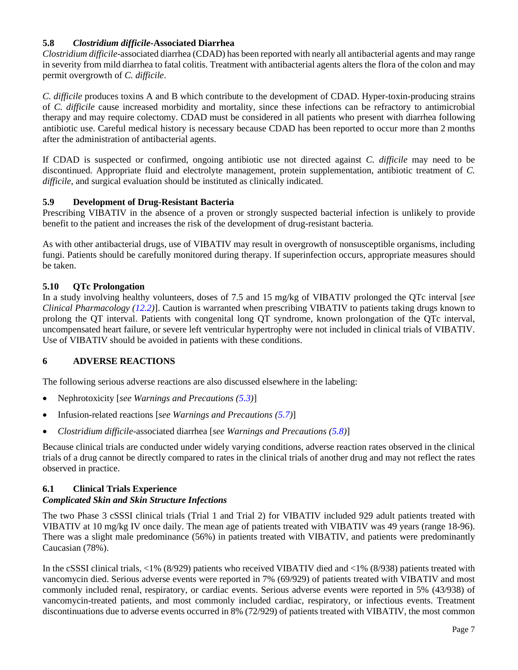## <span id="page-6-0"></span>**5.8** *Clostridium difficile***-Associated Diarrhea**

*Clostridium difficile*-associated diarrhea (CDAD) has been reported with nearly all antibacterial agents and may range in severity from mild diarrhea to fatal colitis. Treatment with antibacterial agents alters the flora of the colon and may permit overgrowth of *C. difficile*.

*C. difficile* produces toxins A and B which contribute to the development of CDAD. Hyper-toxin-producing strains of *C. difficile* cause increased morbidity and mortality, since these infections can be refractory to antimicrobial therapy and may require colectomy. CDAD must be considered in all patients who present with diarrhea following antibiotic use. Careful medical history is necessary because CDAD has been reported to occur more than 2 months after the administration of antibacterial agents.

If CDAD is suspected or confirmed, ongoing antibiotic use not directed against *C. difficile* may need to be discontinued. Appropriate fluid and electrolyte management, protein supplementation, antibiotic treatment of *C. difficile*, and surgical evaluation should be instituted as clinically indicated.

# <span id="page-6-3"></span>**5.9 Development of Drug-Resistant Bacteria**

Prescribing VIBATIV in the absence of a proven or strongly suspected bacterial infection is unlikely to provide benefit to the patient and increases the risk of the development of drug-resistant bacteria.

As with other antibacterial drugs, use of VIBATIV may result in overgrowth of nonsusceptible organisms, including fungi. Patients should be carefully monitored during therapy. If superinfection occurs, appropriate measures should be taken.

## <span id="page-6-1"></span>**5.10 QTc Prolongation**

In a study involving healthy volunteers, doses of 7.5 and 15 mg/kg of VIBATIV prolonged the QTc interval [*see Clinical Pharmacology [\(12.2\)](#page-12-2)*]. Caution is warranted when prescribing VIBATIV to patients taking drugs known to prolong the QT interval. Patients with congenital long QT syndrome, known prolongation of the QTc interval, uncompensated heart failure, or severe left ventricular hypertrophy were not included in clinical trials of VIBATIV. Use of VIBATIV should be avoided in patients with these conditions.

# <span id="page-6-4"></span>**6 ADVERSE REACTIONS**

The following serious adverse reactions are also discussed elsewhere in the labeling:

- Nephrotoxicity [*see Warnings and Precautions [\(5.3\)](#page-4-1)*]
- Infusion-related reactions [*see Warnings and Precautions [\(5.7\)](#page-5-3)*]
- *Clostridium difficile*-associated diarrhea [*see Warnings and Precautions [\(5.8\)](#page-6-0)*]

Because clinical trials are conducted under widely varying conditions, adverse reaction rates observed in the clinical trials of a drug cannot be directly compared to rates in the clinical trials of another drug and may not reflect the rates observed in practice.

# <span id="page-6-2"></span>**6.1 Clinical Trials Experience**

### *Complicated Skin and Skin Structure Infections*

The two Phase 3 cSSSI clinical trials (Trial 1 and Trial 2) for VIBATIV included 929 adult patients treated with VIBATIV at 10 mg/kg IV once daily. The mean age of patients treated with VIBATIV was 49 years (range 18-96). There was a slight male predominance (56%) in patients treated with VIBATIV, and patients were predominantly Caucasian (78%).

In the cSSSI clinical trials, <1% (8/929) patients who received VIBATIV died and <1% (8/938) patients treated with vancomycin died. Serious adverse events were reported in 7% (69/929) of patients treated with VIBATIV and most commonly included renal, respiratory, or cardiac events. Serious adverse events were reported in 5% (43/938) of vancomycin-treated patients, and most commonly included cardiac, respiratory, or infectious events. Treatment discontinuations due to adverse events occurred in 8% (72/929) of patients treated with VIBATIV, the most common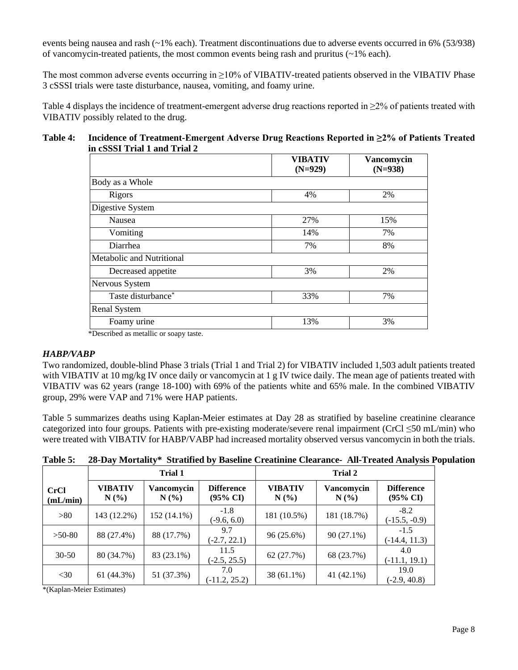events being nausea and rash (~1% each). Treatment discontinuations due to adverse events occurred in 6% (53/938) of vancomycin-treated patients, the most common events being rash and pruritus  $(\sim 1\%$  each).

The most common adverse events occurring in ≥10% of VIBATIV-treated patients observed in the VIBATIV Phase 3 cSSSI trials were taste disturbance, nausea, vomiting, and foamy urine.

Table 4 displays the incidence of treatment-emergent adverse drug reactions reported in  $\geq 2\%$  of patients treated with VIBATIV possibly related to the drug.

### **Table 4: Incidence of Treatment-Emergent Adverse Drug Reactions Reported in ≥2% of Patients Treated in cSSSI Trial 1 and Trial 2**

|                           | <b>VIBATIV</b><br>$(N=929)$ | <b>Vancomycin</b><br>$(N=938)$ |  |
|---------------------------|-----------------------------|--------------------------------|--|
| Body as a Whole           |                             |                                |  |
| Rigors                    | 4%                          | 2%                             |  |
| Digestive System          |                             |                                |  |
| Nausea                    | 27%                         | 15%                            |  |
| Vomiting                  | 14%                         | 7%                             |  |
| Diarrhea                  | 7%                          | 8%                             |  |
| Metabolic and Nutritional |                             |                                |  |
| Decreased appetite        | 3%                          | 2%                             |  |
| Nervous System            |                             |                                |  |
| Taste disturbance*        | 33%                         | 7%                             |  |
| <b>Renal System</b>       |                             |                                |  |
| Foamy urine               | 13%                         | 3%                             |  |

\*Described as metallic or soapy taste.

### *HABP/VABP*

Two randomized, double-blind Phase 3 trials (Trial 1 and Trial 2) for VIBATIV included 1,503 adult patients treated with VIBATIV at 10 mg/kg IV once daily or vancomycin at 1 g IV twice daily. The mean age of patients treated with VIBATIV was 62 years (range 18-100) with 69% of the patients white and 65% male. In the combined VIBATIV group, 29% were VAP and 71% were HAP patients.

Table 5 summarizes deaths using Kaplan-Meier estimates at Day 28 as stratified by baseline creatinine clearance categorized into four groups. Patients with pre-existing moderate/severe renal impairment (CrCl ≤50 mL/min) who were treated with VIBATIV for HABP/VABP had increased mortality observed versus vancomycin in both the trials.

|                         | <b>Trial 1</b>     |                    |                                          | <b>Trial 2</b>         |                       |                                          |
|-------------------------|--------------------|--------------------|------------------------------------------|------------------------|-----------------------|------------------------------------------|
| <b>CrCl</b><br>(mL/min) | VIBATIV<br>$N(\%)$ | Vancomycin<br>N(%) | <b>Difference</b><br>$(95\% \text{ CI})$ | <b>VIBATIV</b><br>N(%) | Vancomycin<br>$N(\%)$ | <b>Difference</b><br>$(95\% \text{ CI})$ |
| >80                     | 143 (12.2%)        | 152 (14.1%)        | $-1.8$<br>$(-9.6, 6.0)$                  | 181 (10.5%)            | 181 (18.7%)           | $-8.2$<br>$(-15.5, -0.9)$                |
| $>50-80$                | 88 (27.4%)         | 88 (17.7%)         | 9.7<br>$(-2.7, 22.1)$                    | 96 (25.6%)             | 90 (27.1%)            | $-1.5$<br>$(-14.4, 11.3)$                |
| $30 - 50$               | 80 (34.7%)         | 83 (23.1%)         | 11.5<br>$(-2.5, 25.5)$                   | 62 (27.7%)             | 68 (23.7%)            | 4.0<br>$(-11.1, 19.1)$                   |
| $<$ 30                  | 61 (44.3%)         | 51 (37.3%)         | 7.0<br>$(-11.2, 25.2)$                   | 38 (61.1%)             | 41 (42.1%)            | 19.0<br>$(-2.9, 40.8)$                   |

# **Table 5: 28-Day Mortality\* Stratified by Baseline Creatinine Clearance- All-Treated Analysis Population**

\*(Kaplan-Meier Estimates)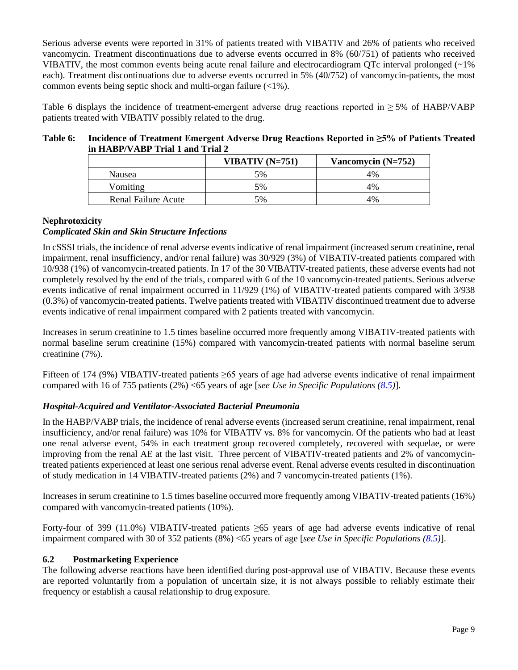Serious adverse events were reported in 31% of patients treated with VIBATIV and 26% of patients who received vancomycin. Treatment discontinuations due to adverse events occurred in 8% (60/751) of patients who received VIBATIV, the most common events being acute renal failure and electrocardiogram QTc interval prolonged  $\langle \sim 1\%$ each). Treatment discontinuations due to adverse events occurred in 5% (40/752) of vancomycin-patients, the most common events being septic shock and multi-organ failure (<1%).

Table 6 displays the incidence of treatment-emergent adverse drug reactions reported in  $\geq$  5% of HABP/VABP patients treated with VIBATIV possibly related to the drug.

### **Table 6: Incidence of Treatment Emergent Adverse Drug Reactions Reported in ≥5% of Patients Treated in HABP/VABP Trial 1 and Trial 2**

|                            | VIBATIV $(N=751)$ | Vancomycin $(N=752)$ |
|----------------------------|-------------------|----------------------|
| <b>Nausea</b>              | 5%                | 4%                   |
| Vomiting                   | 5%                | 4%                   |
| <b>Renal Failure Acute</b> | 5%                | 4%                   |

# **Nephrotoxicity**

# *Complicated Skin and Skin Structure Infections*

In cSSSI trials, the incidence of renal adverse events indicative of renal impairment (increased serum creatinine, renal impairment, renal insufficiency, and/or renal failure) was 30/929 (3%) of VIBATIV-treated patients compared with 10/938 (1%) of vancomycin-treated patients. In 17 of the 30 VIBATIV-treated patients, these adverse events had not completely resolved by the end of the trials, compared with 6 of the 10 vancomycin-treated patients. Serious adverse events indicative of renal impairment occurred in 11/929 (1%) of VIBATIV-treated patients compared with 3/938 (0.3%) of vancomycin-treated patients. Twelve patients treated with VIBATIV discontinued treatment due to adverse events indicative of renal impairment compared with 2 patients treated with vancomycin.

Increases in serum creatinine to 1.5 times baseline occurred more frequently among VIBATIV-treated patients with normal baseline serum creatinine (15%) compared with vancomycin-treated patients with normal baseline serum creatinine (7%).

Fifteen of 174 (9%) VIBATIV-treated patients ≥65 years of age had adverse events indicative of renal impairment compared with 16 of 755 patients (2%) <65 years of age [*see Use in Specific Populations [\(8.5\)](#page-10-2)*].

# *Hospital-Acquired and Ventilator-Associated Bacterial Pneumonia*

In the HABP/VABP trials, the incidence of renal adverse events (increased serum creatinine, renal impairment, renal insufficiency, and/or renal failure) was 10% for VIBATIV vs. 8% for vancomycin. Of the patients who had at least one renal adverse event, 54% in each treatment group recovered completely, recovered with sequelae, or were improving from the renal AE at the last visit. Three percent of VIBATIV-treated patients and 2% of vancomycintreated patients experienced at least one serious renal adverse event. Renal adverse events resulted in discontinuation of study medication in 14 VIBATIV-treated patients (2%) and 7 vancomycin-treated patients (1%).

Increases in serum creatinine to 1.5 times baseline occurred more frequently among VIBATIV-treated patients (16%) compared with vancomycin-treated patients (10%).

Forty-four of 399 (11.0%) VIBATIV-treated patients ≥65 years of age had adverse events indicative of renal impairment compared with 30 of 352 patients (8%) <65 years of age [*see Use in Specific Populations [\(8.5\)](#page-10-2)*].

### <span id="page-8-0"></span>**6.2 Postmarketing Experience**

The following adverse reactions have been identified during post-approval use of VIBATIV. Because these events are reported voluntarily from a population of uncertain size, it is not always possible to reliably estimate their frequency or establish a causal relationship to drug exposure.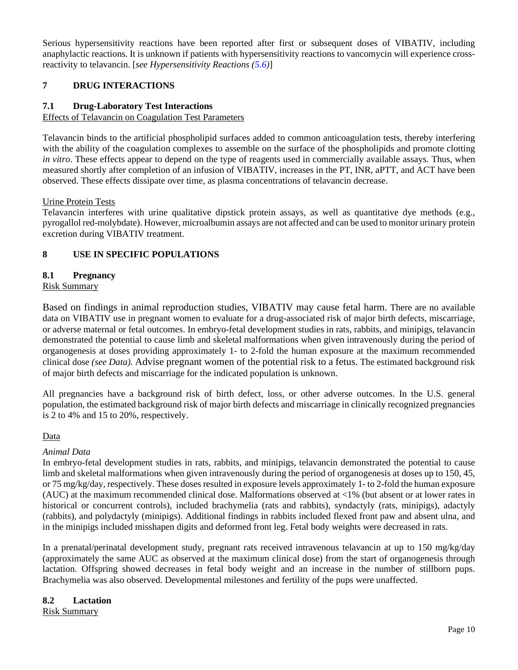Serious hypersensitivity reactions have been reported after first or subsequent doses of VIBATIV, including anaphylactic reactions. It is unknown if patients with hypersensitivity reactions to vancomycin will experience crossreactivity to telavancin. [*see Hypersensitivity Reactions [\(5.6\)](#page-5-2)*]

# <span id="page-9-2"></span>**7 DRUG INTERACTIONS**

## <span id="page-9-1"></span>**7.1 Drug-Laboratory Test Interactions**

### Effects of Telavancin on Coagulation Test Parameters

Telavancin binds to the artificial phospholipid surfaces added to common anticoagulation tests, thereby interfering with the ability of the coagulation complexes to assemble on the surface of the phospholipids and promote clotting *in vitro*. These effects appear to depend on the type of reagents used in commercially available assays. Thus, when measured shortly after completion of an infusion of VIBATIV, increases in the PT, INR, aPTT, and ACT have been observed. These effects dissipate over time, as plasma concentrations of telavancin decrease.

### Urine Protein Tests

Telavancin interferes with urine qualitative dipstick protein assays, as well as quantitative dye methods (e.g., pyrogallol red-molybdate). However, microalbumin assays are not affected and can be used to monitor urinary protein excretion during VIBATIV treatment.

# <span id="page-9-3"></span>**8 USE IN SPECIFIC POPULATIONS**

# <span id="page-9-0"></span>**8.1 Pregnancy**

## Risk Summary

Based on findings in animal reproduction studies, VIBATIV may cause fetal harm. There are no available data on VIBATIV use in pregnant women to evaluate for a drug-associated risk of major birth defects, miscarriage, or adverse maternal or fetal outcomes. In embryo-fetal development studies in rats, rabbits, and minipigs, telavancin demonstrated the potential to cause limb and skeletal malformations when given intravenously during the period of organogenesis at doses providing approximately 1- to 2-fold the human exposure at the maximum recommended clinical dose *(see Data).* Advise pregnant women of the potential risk to a fetus. The estimated background risk of major birth defects and miscarriage for the indicated population is unknown.

All pregnancies have a background risk of birth defect, loss, or other adverse outcomes. In the U.S. general population, the estimated background risk of major birth defects and miscarriage in clinically recognized pregnancies is 2 to 4% and 15 to 20%, respectively.

### Data

### *Animal Data*

In embryo-fetal development studies in rats, rabbits, and minipigs, telavancin demonstrated the potential to cause limb and skeletal malformations when given intravenously during the period of organogenesis at doses up to 150, 45, or 75 mg/kg/day, respectively. These doses resulted in exposure levels approximately 1- to 2-fold the human exposure (AUC) at the maximum recommended clinical dose. Malformations observed at <1% (but absent or at lower rates in historical or concurrent controls), included brachymelia (rats and rabbits), syndactyly (rats, minipigs), adactyly (rabbits), and polydactyly (minipigs). Additional findings in rabbits included flexed front paw and absent ulna, and in the minipigs included misshapen digits and deformed front leg. Fetal body weights were decreased in rats.

In a prenatal/perinatal development study, pregnant rats received intravenous telavancin at up to 150 mg/kg/day (approximately the same AUC as observed at the maximum clinical dose) from the start of organogenesis through lactation. Offspring showed decreases in fetal body weight and an increase in the number of stillborn pups. Brachymelia was also observed. Developmental milestones and fertility of the pups were unaffected.

# <span id="page-9-4"></span>**8.2 Lactation**

### Risk Summary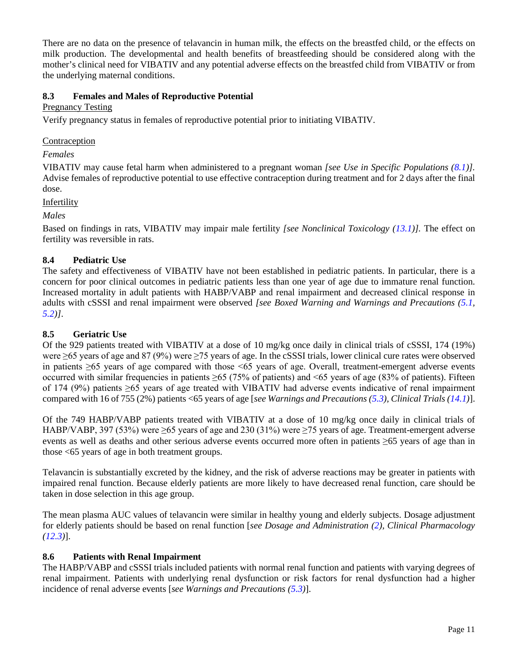There are no data on the presence of telavancin in human milk, the effects on the breastfed child, or the effects on milk production. The developmental and health benefits of breastfeeding should be considered along with the mother's clinical need for VIBATIV and any potential adverse effects on the breastfed child from VIBATIV or from the underlying maternal conditions.

# <span id="page-10-1"></span>**8.3 Females and Males of Reproductive Potential**

# Pregnancy Testing

Verify pregnancy status in females of reproductive potential prior to initiating VIBATIV.

## Contraception

*Females*

VIBATIV may cause fetal harm when administered to a pregnant woman *[see Use in Specific Populations [\(8.1\)](#page-9-0)].* Advise females of reproductive potential to use effective contraception during treatment and for 2 days after the final dose.

Infertility

*Males*

Based on findings in rats, VIBATIV may impair male fertility *[see Nonclinical Toxicology [\(13.1\)](#page-16-1)].* The effect on fertility was reversible in rats.

# <span id="page-10-0"></span>**8.4 Pediatric Use**

The safety and effectiveness of VIBATIV have not been established in pediatric patients. In particular, there is a concern for poor clinical outcomes in pediatric patients less than one year of age due to immature renal function. Increased mortality in adult patients with HABP/VABP and renal impairment and decreased clinical response in adults with cSSSI and renal impairment were observed *[see Boxed Warning and Warnings and Precautions [\(5.1,](#page-4-0) [5.2\)](#page-4-5)]*.

## <span id="page-10-2"></span>**8.5 Geriatric Use**

Of the 929 patients treated with VIBATIV at a dose of 10 mg/kg once daily in clinical trials of cSSSI, 174 (19%) were ≥65 years of age and 87 (9%) were ≥75 years of age. In the cSSSI trials, lower clinical cure rates were observed in patients ≥65 years of age compared with those <65 years of age. Overall, treatment-emergent adverse events occurred with similar frequencies in patients  $\geq 65$  (75% of patients) and <65 years of age (83% of patients). Fifteen of 174 (9%) patients ≥65 years of age treated with VIBATIV had adverse events indicative of renal impairment compared with 16 of 755 (2%) patients <65 years of age [*see Warnings and Precautions [\(5.3\)](#page-4-1), Clinical Trials [\(14.1\)](#page-16-4)*].

Of the 749 HABP/VABP patients treated with VIBATIV at a dose of 10 mg/kg once daily in clinical trials of HABP/VABP, 397 (53%) were ≥65 years of age and 230 (31%) were ≥75 years of age. Treatment-emergent adverse events as well as deaths and other serious adverse events occurred more often in patients ≥65 years of age than in those <65 years of age in both treatment groups.

Telavancin is substantially excreted by the kidney, and the risk of adverse reactions may be greater in patients with impaired renal function. Because elderly patients are more likely to have decreased renal function, care should be taken in dose selection in this age group.

The mean plasma AUC values of telavancin were similar in healthy young and elderly subjects. Dosage adjustment for elderly patients should be based on renal function [*see Dosage and Administration [\(2\)](#page-2-5), Clinical Pharmacology [\(12.3\)](#page-13-0)*].

# <span id="page-10-3"></span>**8.6 Patients with Renal Impairment**

The HABP/VABP and cSSSI trials included patients with normal renal function and patients with varying degrees of renal impairment. Patients with underlying renal dysfunction or risk factors for renal dysfunction had a higher incidence of renal adverse events [*see Warnings and Precautions [\(5.3\)](#page-4-1)*].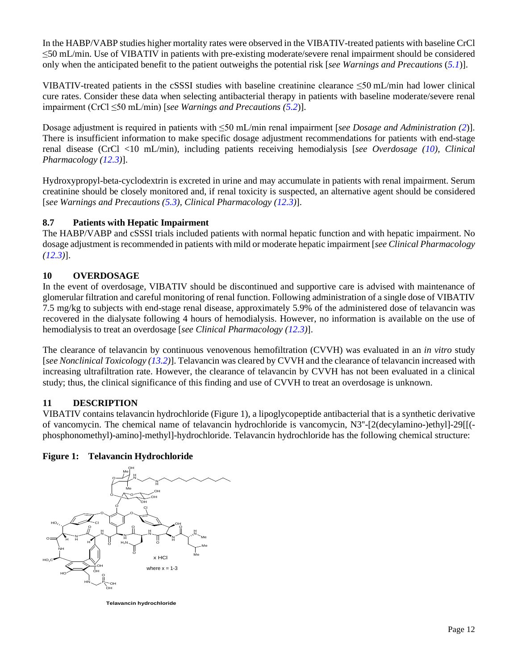In the HABP/VABP studies higher mortality rates were observed in the VIBATIV-treated patients with baseline CrCl ≤50 mL/min. Use of VIBATIV in patients with pre-existing moderate/severe renal impairment should be considered only when the anticipated benefit to the patient outweighs the potential risk [*see Warnings and Precautions* (*[5.1](#page-4-0)*)].

VIBATIV-treated patients in the cSSSI studies with baseline creatinine clearance  $\leq$ 50 mL/min had lower clinical cure rates. Consider these data when selecting antibacterial therapy in patients with baseline moderate/severe renal impairment (CrCl ≤50 mL/min) [*see Warnings and Precautions [\(5.2](#page-4-5)*)].

Dosage adjustment is required in patients with ≤50 mL/min renal impairment [*see Dosage and Administration [\(2](#page-2-5)*)]. There is insufficient information to make specific dosage adjustment recommendations for patients with end-stage renal disease (CrCl <10 mL/min), including patients receiving hemodialysis [*see Overdosage [\(10\)](#page-11-1), Clinical Pharmacology [\(12.3\)](#page-13-0)*].

Hydroxypropyl-beta-cyclodextrin is excreted in urine and may accumulate in patients with renal impairment. Serum creatinine should be closely monitored and, if renal toxicity is suspected, an alternative agent should be considered [*see Warnings and Precautions [\(5.3\)](#page-4-1), Clinical Pharmacology [\(12.3\)](#page-13-0)*].

# <span id="page-11-0"></span>**8.7 Patients with Hepatic Impairment**

The HABP/VABP and cSSSI trials included patients with normal hepatic function and with hepatic impairment. No dosage adjustment is recommended in patients with mild or moderate hepatic impairment [*see Clinical Pharmacology [\(12.3\)](#page-13-0)*].

# <span id="page-11-1"></span>**10 OVERDOSAGE**

In the event of overdosage, VIBATIV should be discontinued and supportive care is advised with maintenance of glomerular filtration and careful monitoring of renal function. Following administration of a single dose of VIBATIV 7.5 mg/kg to subjects with end-stage renal disease, approximately 5.9% of the administered dose of telavancin was recovered in the dialysate following 4 hours of hemodialysis. However, no information is available on the use of hemodialysis to treat an overdosage [*see Clinical Pharmacology [\(12.3\)](#page-13-0)*].

The clearance of telavancin by continuous venovenous hemofiltration (CVVH) was evaluated in an *in vitro* study [*see Nonclinical Toxicology [\(13.2\)](#page-16-2)*]. Telavancin was cleared by CVVH and the clearance of telavancin increased with increasing ultrafiltration rate. However, the clearance of telavancin by CVVH has not been evaluated in a clinical study; thus, the clinical significance of this finding and use of CVVH to treat an overdosage is unknown.

# <span id="page-11-2"></span>**11 DESCRIPTION**

VIBATIV contains telavancin hydrochloride (Figure 1), a lipoglycopeptide antibacterial that is a synthetic derivative of vancomycin. The chemical name of telavancin hydrochloride is vancomycin, N3''-[2(decylamino-)ethyl]-29[[( phosphonomethyl)-amino]-methyl]-hydrochloride. Telavancin hydrochloride has the following chemical structure:

# **Figure 1: Telavancin Hydrochloride**



**Telavancin hydrochloride**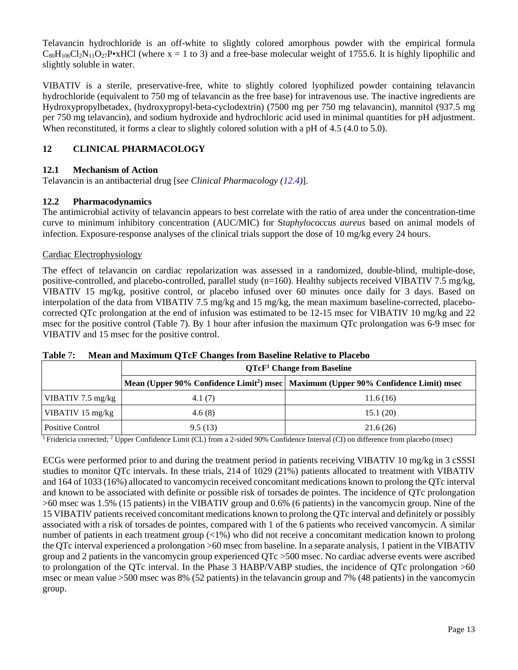Telavancin hydrochloride is an off-white to slightly colored amorphous powder with the empirical formula  $C_{80}H_{106}Cl_2N_{11}O_{27}P\bullet$ xHCl (where x = 1 to 3) and a free-base molecular weight of 1755.6. It is highly lipophilic and slightly soluble in water.

VIBATIV is a sterile, preservative-free, white to slightly colored lyophilized powder containing telavancin hydrochloride (equivalent to 750 mg of telavancin as the free base) for intravenous use. The inactive ingredients are Hydroxypropylbetadex, (hydroxypropyl-beta-cyclodextrin) (7500 mg per 750 mg telavancin), mannitol (937.5 mg per 750 mg telavancin), and sodium hydroxide and hydrochloric acid used in minimal quantities for pH adjustment. When reconstituted, it forms a clear to slightly colored solution with a pH of 4.5 (4.0 to 5.0).

# <span id="page-12-0"></span>**12 CLINICAL PHARMACOLOGY**

# <span id="page-12-1"></span>**12.1 Mechanism of Action**

Telavancin is an antibacterial drug [*see Clinical Pharmacology [\(12.4\)](#page-15-0)*].

# <span id="page-12-2"></span>**12.2 Pharmacodynamics**

The antimicrobial activity of telavancin appears to best correlate with the ratio of area under the concentration-time curve to minimum inhibitory concentration (AUC/MIC) for S*taphylococcus aureus* based on animal models of infection. Exposure-response analyses of the clinical trials support the dose of 10 mg/kg every 24 hours.

# Cardiac Electrophysiology

The effect of telavancin on cardiac repolarization was assessed in a randomized, double-blind, multiple-dose, positive-controlled, and placebo-controlled, parallel study (n=160). Healthy subjects received VIBATIV 7.5 mg/kg, VIBATIV 15 mg/kg, positive control, or placebo infused over 60 minutes once daily for 3 days. Based on interpolation of the data from VIBATIV 7.5 mg/kg and 15 mg/kg, the mean maximum baseline-corrected, placebocorrected QTc prolongation at the end of infusion was estimated to be 12-15 msec for VIBATIV 10 mg/kg and 22 msec for the positive control (Table 7). By 1 hour after infusion the maximum QTc prolongation was 6-9 msec for VIBATIV and 15 msec for the positive control.

|                            | QTcF <sup>1</sup> Change from Baseline                                                           |          |  |  |
|----------------------------|--------------------------------------------------------------------------------------------------|----------|--|--|
|                            | Mean (Upper 90% Confidence Limit <sup>2</sup> ) msec   Maximum (Upper 90% Confidence Limit) msec |          |  |  |
| VIBATIV 7.5 mg/kg          | 4.1(7)                                                                                           | 11.6(16) |  |  |
| VIBATIV $15 \text{ mg/kg}$ | 4.6(8)                                                                                           | 15.1(20) |  |  |
| Positive Control           | 9.5(13)                                                                                          | 21.6(26) |  |  |

**Table** 7**: Mean and Maximum QTcF Changes from Baseline Relative to Placebo**

1 Fridericia corrected; 2 Upper Confidence Limit (CL) from a 2-sided 90% Confidence Interval (CI) on difference from placebo (msec)

ECGs were performed prior to and during the treatment period in patients receiving VIBATIV 10 mg/kg in 3 cSSSI studies to monitor QTc intervals. In these trials, 214 of 1029 (21%) patients allocated to treatment with VIBATIV and 164 of 1033 (16%) allocated to vancomycin received concomitant medications known to prolong the QTc interval and known to be associated with definite or possible risk of torsades de pointes. The incidence of QTc prolongation >60 msec was 1.5% (15 patients) in the VIBATIV group and 0.6% (6 patients) in the vancomycin group. Nine of the 15 VIBATIV patients received concomitant medications known to prolong the QTc interval and definitely or possibly associated with a risk of torsades de pointes, compared with 1 of the 6 patients who received vancomycin. A similar number of patients in each treatment group (<1%) who did not receive a concomitant medication known to prolong the QTc interval experienced a prolongation >60 msec from baseline. In a separate analysis, 1 patient in the VIBATIV group and 2 patients in the vancomycin group experienced QTc >500 msec. No cardiac adverse events were ascribed to prolongation of the QTc interval. In the Phase 3 HABP/VABP studies, the incidence of QTc prolongation >60 msec or mean value >500 msec was 8% (52 patients) in the telavancin group and 7% (48 patients) in the vancomycin group.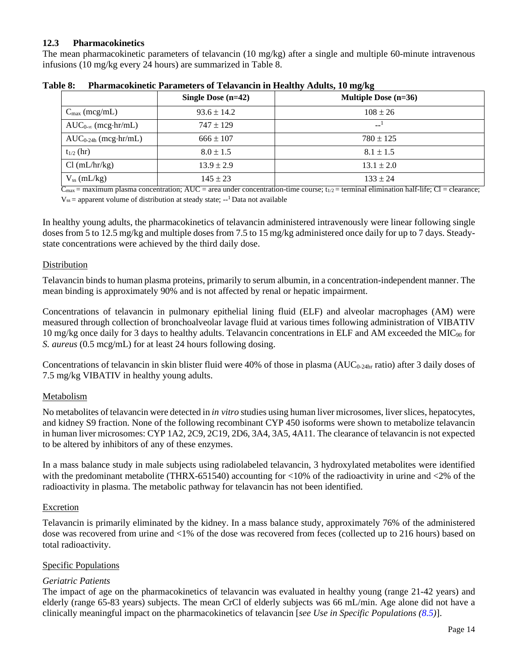## <span id="page-13-0"></span>**12.3 Pharmacokinetics**

The mean pharmacokinetic parameters of telavancin (10 mg/kg) after a single and multiple 60-minute intravenous infusions (10 mg/kg every 24 hours) are summarized in Table 8.

|                              | Single Dose $(n=42)$ | <b>Multiple Dose (n=36)</b> |
|------------------------------|----------------------|-----------------------------|
| $C_{\text{max}}$ (mcg/mL)    | $93.6 \pm 14.2$      | $108 \pm 26$                |
| $AUC_{0-\infty}$ (mcg·hr/mL) | $747 \pm 129$        | $---1$                      |
| $AUC_{0.24h}$ (mcg·hr/mL)    | $666 \pm 107$        | $780 \pm 125$               |
| $t_{1/2}$ (hr)               | $8.0 \pm 1.5$        | $8.1 \pm 1.5$               |
| Cl (mL/hr/kg)                | $13.9 \pm 2.9$       | $13.1 \pm 2.0$              |
| $V_{ss}$ (mL/kg)             | $145 \pm 23$         | $133 \pm 24$                |

**Table 8: Pharmacokinetic Parameters of Telavancin in Healthy Adults, 10 mg/kg**

 $\overline{C_{\text{max}}}$  = maximum plasma concentration; AUC = area under concentration-time course; t<sub>1/2</sub> = terminal elimination half-life; Cl = clearance;  $V_{ss}$  = apparent volume of distribution at steady state; --<sup>1</sup> Data not available

In healthy young adults, the pharmacokinetics of telavancin administered intravenously were linear following single doses from 5 to 12.5 mg/kg and multiple doses from 7.5 to 15 mg/kg administered once daily for up to 7 days. Steadystate concentrations were achieved by the third daily dose.

## Distribution

Telavancin binds to human plasma proteins, primarily to serum albumin, in a concentration-independent manner. The mean binding is approximately 90% and is not affected by renal or hepatic impairment.

Concentrations of telavancin in pulmonary epithelial lining fluid (ELF) and alveolar macrophages (AM) were measured through collection of bronchoalveolar lavage fluid at various times following administration of VIBATIV 10 mg/kg once daily for 3 days to healthy adults. Telavancin concentrations in ELF and AM exceeded the MIC $_{90}$  for *S. aureus* (0.5 mcg/mL) for at least 24 hours following dosing.

Concentrations of telavancin in skin blister fluid were 40% of those in plasma ( $AUC_{0-24hr}$  ratio) after 3 daily doses of 7.5 mg/kg VIBATIV in healthy young adults.

### Metabolism

No metabolites of telavancin were detected in *in vitro* studies using human liver microsomes, liver slices, hepatocytes, and kidney S9 fraction. None of the following recombinant CYP 450 isoforms were shown to metabolize telavancin in human liver microsomes: CYP 1A2, 2C9, 2C19, 2D6, 3A4, 3A5, 4A11. The clearance of telavancin is not expected to be altered by inhibitors of any of these enzymes.

In a mass balance study in male subjects using radiolabeled telavancin, 3 hydroxylated metabolites were identified with the predominant metabolite (THRX-651540) accounting for <10% of the radioactivity in urine and <2% of the radioactivity in plasma. The metabolic pathway for telavancin has not been identified.

### Excretion

Telavancin is primarily eliminated by the kidney. In a mass balance study, approximately 76% of the administered dose was recovered from urine and <1% of the dose was recovered from feces (collected up to 216 hours) based on total radioactivity.

### Specific Populations

# *Geriatric Patients*

The impact of age on the pharmacokinetics of telavancin was evaluated in healthy young (range 21-42 years) and elderly (range 65-83 years) subjects. The mean CrCl of elderly subjects was 66 mL/min. Age alone did not have a clinically meaningful impact on the pharmacokinetics of telavancin [*see Use in Specific Populations [\(8.5\)](#page-10-2)*].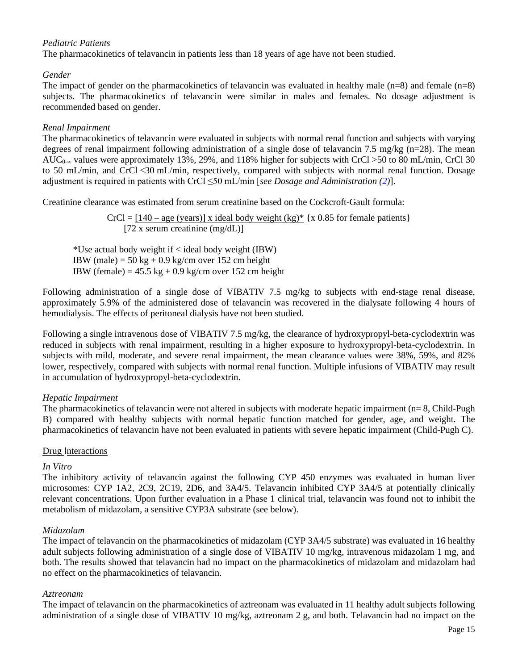## *Pediatric Patients*

The pharmacokinetics of telavancin in patients less than 18 years of age have not been studied.

### *Gender*

The impact of gender on the pharmacokinetics of telavancin was evaluated in healthy male  $(n=8)$  and female  $(n=8)$ subjects. The pharmacokinetics of telavancin were similar in males and females. No dosage adjustment is recommended based on gender.

### *Renal Impairment*

The pharmacokinetics of telavancin were evaluated in subjects with normal renal function and subjects with varying degrees of renal impairment following administration of a single dose of telavancin 7.5 mg/kg (n=28). The mean AUC<sub>0-∞</sub> values were approximately 13%, 29%, and 118% higher for subjects with CrCl >50 to 80 mL/min, CrCl 30 to 50 mL/min, and CrCl <30 mL/min, respectively, compared with subjects with normal renal function. Dosage adjustment is required in patients with CrCl ≤50 mL/min [*see Dosage and Administration [\(2\)](#page-2-5)*].

Creatinine clearance was estimated from serum creatinine based on the Cockcroft-Gault formula:

 $CrCl = [140 - age (years)]$  x ideal body weight  $(kg)^*$  {x 0.85 for female patients}  $[72 \times \text{serum creationine (mg/dL)}]$ 

\*Use actual body weight if < ideal body weight (IBW) IBW (male) =  $50 \text{ kg} + 0.9 \text{ kg/cm}$  over 152 cm height IBW (female) =  $45.5 \text{ kg} + 0.9 \text{ kg/cm}$  over 152 cm height

Following administration of a single dose of VIBATIV 7.5 mg/kg to subjects with end-stage renal disease, approximately 5.9% of the administered dose of telavancin was recovered in the dialysate following 4 hours of hemodialysis. The effects of peritoneal dialysis have not been studied.

Following a single intravenous dose of VIBATIV 7.5 mg/kg, the clearance of hydroxypropyl-beta-cyclodextrin was reduced in subjects with renal impairment, resulting in a higher exposure to hydroxypropyl-beta-cyclodextrin. In subjects with mild, moderate, and severe renal impairment, the mean clearance values were 38%, 59%, and 82% lower, respectively, compared with subjects with normal renal function. Multiple infusions of VIBATIV may result in accumulation of hydroxypropyl-beta-cyclodextrin.

### *Hepatic Impairment*

The pharmacokinetics of telavancin were not altered in subjects with moderate hepatic impairment (n= 8, Child-Pugh B) compared with healthy subjects with normal hepatic function matched for gender, age, and weight. The pharmacokinetics of telavancin have not been evaluated in patients with severe hepatic impairment (Child-Pugh C).

### Drug Interactions

### *In Vitro*

The inhibitory activity of telavancin against the following CYP 450 enzymes was evaluated in human liver microsomes: CYP 1A2, 2C9, 2C19, 2D6, and 3A4/5. Telavancin inhibited CYP 3A4/5 at potentially clinically relevant concentrations. Upon further evaluation in a Phase 1 clinical trial, telavancin was found not to inhibit the metabolism of midazolam, a sensitive CYP3A substrate (see below).

### *Midazolam*

The impact of telavancin on the pharmacokinetics of midazolam (CYP 3A4/5 substrate) was evaluated in 16 healthy adult subjects following administration of a single dose of VIBATIV 10 mg/kg, intravenous midazolam 1 mg, and both. The results showed that telavancin had no impact on the pharmacokinetics of midazolam and midazolam had no effect on the pharmacokinetics of telavancin.

### *Aztreonam*

The impact of telavancin on the pharmacokinetics of aztreonam was evaluated in 11 healthy adult subjects following administration of a single dose of VIBATIV 10 mg/kg, aztreonam 2 g, and both. Telavancin had no impact on the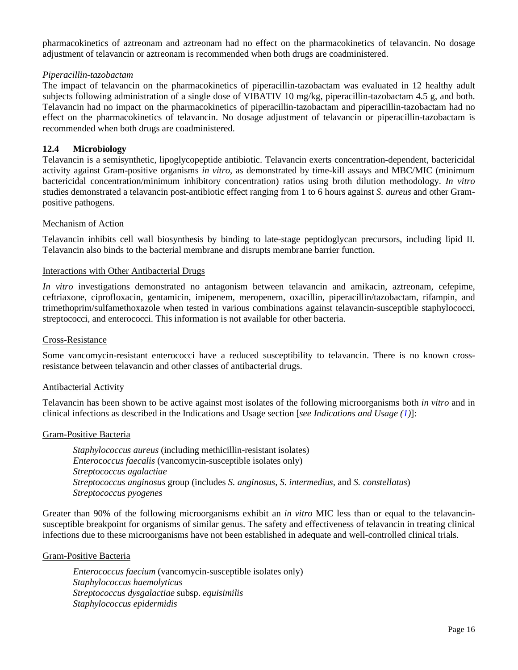pharmacokinetics of aztreonam and aztreonam had no effect on the pharmacokinetics of telavancin. No dosage adjustment of telavancin or aztreonam is recommended when both drugs are coadministered.

### *Piperacillin-tazobactam*

The impact of telavancin on the pharmacokinetics of piperacillin-tazobactam was evaluated in 12 healthy adult subjects following administration of a single dose of VIBATIV 10 mg/kg, piperacillin-tazobactam 4.5 g, and both. Telavancin had no impact on the pharmacokinetics of piperacillin-tazobactam and piperacillin-tazobactam had no effect on the pharmacokinetics of telavancin. No dosage adjustment of telavancin or piperacillin-tazobactam is recommended when both drugs are coadministered.

### <span id="page-15-0"></span>**12.4 Microbiology**

Telavancin is a semisynthetic, lipoglycopeptide antibiotic. Telavancin exerts concentration-dependent, bactericidal activity against Gram-positive organisms *in vitro*, as demonstrated by time-kill assays and MBC/MIC (minimum bactericidal concentration/minimum inhibitory concentration) ratios using broth dilution methodology. *In vitro* studies demonstrated a telavancin post-antibiotic effect ranging from 1 to 6 hours against *S. aureus* and other Grampositive pathogens.

### Mechanism of Action

Telavancin inhibits cell wall biosynthesis by binding to late-stage peptidoglycan precursors, including lipid II. Telavancin also binds to the bacterial membrane and disrupts membrane barrier function.

### Interactions with Other Antibacterial Drugs

*In vitro* investigations demonstrated no antagonism between telavancin and amikacin, aztreonam, cefepime, ceftriaxone, ciprofloxacin, gentamicin, imipenem, meropenem, oxacillin, piperacillin/tazobactam, rifampin, and trimethoprim/sulfamethoxazole when tested in various combinations against telavancin-susceptible staphylococci, streptococci, and enterococci. This information is not available for other bacteria.

### Cross-Resistance

Some vancomycin-resistant enterococci have a reduced susceptibility to telavancin. There is no known crossresistance between telavancin and other classes of antibacterial drugs.

### Antibacterial Activity

Telavancin has been shown to be active against most isolates of the following microorganisms both *in vitro* and in clinical infections as described in the Indications and Usage section [*see Indications and Usage [\(1\)](#page-2-3)*]:

### Gram-Positive Bacteria

*Staphylococcus aureus* (including methicillin-resistant isolates) *Entero*c*occus faecalis* (vancomycin-susceptible isolates only) *Streptococcus agalactiae Streptococcus anginosus* group (includes *S. anginosus, S. intermedius,* and *S. constellatus*) *Streptococcus pyogenes* 

Greater than 90% of the following microorganisms exhibit an *in vitro* MIC less than or equal to the telavancinsusceptible breakpoint for organisms of similar genus. The safety and effectiveness of telavancin in treating clinical infections due to these microorganisms have not been established in adequate and well-controlled clinical trials.

### Gram-Positive Bacteria

*Enterococcus faecium* (vancomycin-susceptible isolates only) *Staphylococcus haemolyticus Streptococcus dysgalactiae* subsp. *equisimilis Staphylococcus epidermidis*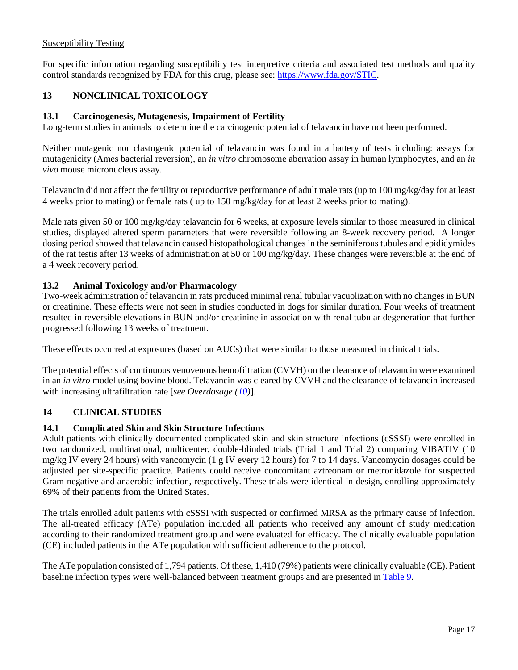## Susceptibility Testing

For specific information regarding susceptibility test interpretive criteria and associated test methods and quality control standards recognized by FDA for this drug, please see: [https://www.fda.gov/STIC.](https://www.fda.gov/STIC)

# <span id="page-16-0"></span>**13 NONCLINICAL TOXICOLOGY**

## <span id="page-16-1"></span>**13.1 Carcinogenesis, Mutagenesis, Impairment of Fertility**

Long-term studies in animals to determine the carcinogenic potential of telavancin have not been performed.

Neither mutagenic nor clastogenic potential of telavancin was found in a battery of tests including: assays for mutagenicity (Ames bacterial reversion), an *in vitro* chromosome aberration assay in human lymphocytes, and an *in vivo* mouse micronucleus assay.

Telavancin did not affect the fertility or reproductive performance of adult male rats (up to 100 mg/kg/day for at least 4 weeks prior to mating) or female rats ( up to 150 mg/kg/day for at least 2 weeks prior to mating).

Male rats given 50 or 100 mg/kg/day telavancin for 6 weeks, at exposure levels similar to those measured in clinical studies, displayed altered sperm parameters that were reversible following an 8-week recovery period. A longer dosing period showed that telavancin caused histopathological changes in the seminiferous tubules and epididymides of the rat testis after 13 weeks of administration at 50 or 100 mg/kg/day. These changes were reversible at the end of a 4 week recovery period.

## <span id="page-16-2"></span>**13.2 Animal Toxicology and/or Pharmacology**

Two-week administration of telavancin in rats produced minimal renal tubular vacuolization with no changes in BUN or creatinine. These effects were not seen in studies conducted in dogs for similar duration. Four weeks of treatment resulted in reversible elevations in BUN and/or creatinine in association with renal tubular degeneration that further progressed following 13 weeks of treatment.

These effects occurred at exposures (based on AUCs) that were similar to those measured in clinical trials.

The potential effects of continuous venovenous hemofiltration (CVVH) on the clearance of telavancin were examined in an *in vitro* model using bovine blood. Telavancin was cleared by CVVH and the clearance of telavancin increased with increasing ultrafiltration rate [*see Overdosage [\(10\)](#page-11-1)*].

### <span id="page-16-3"></span>**14 CLINICAL STUDIES**

### <span id="page-16-4"></span>**14.1 Complicated Skin and Skin Structure Infections**

Adult patients with clinically documented complicated skin and skin structure infections (cSSSI) were enrolled in two randomized, multinational, multicenter, double-blinded trials (Trial 1 and Trial 2) comparing VIBATIV (10 mg/kg IV every 24 hours) with vancomycin (1 g IV every 12 hours) for 7 to 14 days. Vancomycin dosages could be adjusted per site-specific practice. Patients could receive concomitant aztreonam or metronidazole for suspected Gram-negative and anaerobic infection, respectively. These trials were identical in design, enrolling approximately 69% of their patients from the United States.

The trials enrolled adult patients with cSSSI with suspected or confirmed MRSA as the primary cause of infection. The all-treated efficacy (ATe) population included all patients who received any amount of study medication according to their randomized treatment group and were evaluated for efficacy. The clinically evaluable population (CE) included patients in the ATe population with sufficient adherence to the protocol.

The ATe population consisted of 1,794 patients. Of these, 1,410 (79%) patients were clinically evaluable (CE). Patient baseline infection types were well-balanced between treatment groups and are presented in [Table](#page-17-0) 9.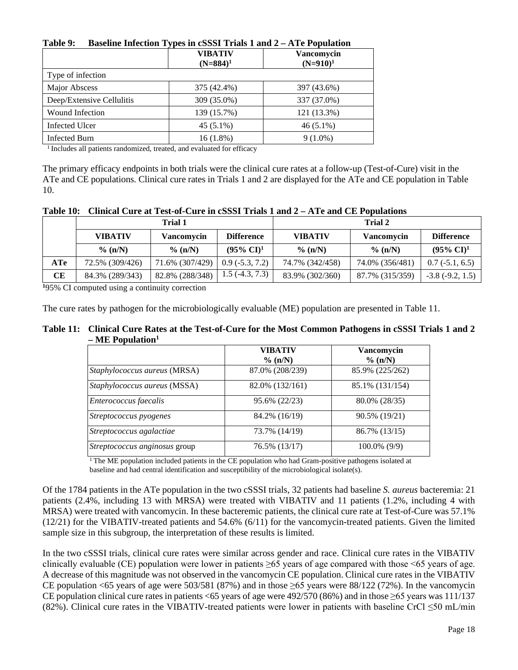| Tavit 7.<br>Daschile Thection Types in Cooper Trials T and $2 - A T C T$ optimation |                               |                           |  |
|-------------------------------------------------------------------------------------|-------------------------------|---------------------------|--|
|                                                                                     | <b>VIBATIV</b><br>$(N=884)^1$ | Vancomycin<br>$(N=910)^1$ |  |
| Type of infection                                                                   |                               |                           |  |
| Major Abscess                                                                       | 375 (42.4%)                   | 397 (43.6%)               |  |
| Deep/Extensive Cellulitis                                                           | 309 (35.0%)                   | 337 (37.0%)               |  |
| <b>Wound Infection</b>                                                              | 139 (15.7%)                   | 121 (13.3%)               |  |
| <b>Infected Ulcer</b>                                                               | $45(5.1\%)$                   | $46(5.1\%)$               |  |
| <b>Infected Burn</b>                                                                | $16(1.8\%)$                   | $9(1.0\%)$                |  |

# <span id="page-17-0"></span>**Table 9: Baseline Infection Types in cSSSI Trials 1 and 2 – ATe Population**

<sup>1</sup> Includes all patients randomized, treated, and evaluated for efficacy

The primary efficacy endpoints in both trials were the clinical cure rates at a follow-up (Test-of-Cure) visit in the ATe and CE populations. Clinical cure rates in Trials 1 and 2 are displayed for the ATe and CE population in Table 10.

**Table 10: Clinical Cure at Test-of-Cure in cSSSI Trials 1 and 2 – ATe and CE Populations**

|     | Trial 1         |                 | <b>Trial 2</b>        |                 |                 |                       |
|-----|-----------------|-----------------|-----------------------|-----------------|-----------------|-----------------------|
|     | <b>VIBATIV</b>  | Vancomycin      | <b>Difference</b>     | <b>VIBATIV</b>  | Vancomycin      | <b>Difference</b>     |
|     | $\%$ (n/N)      | $\%$ (n/N)      | $(95\% \text{ CI})^1$ | $\%$ (n/N)      | $\%$ (n/N)      | $(95\% \text{ CI})^1$ |
| ATe | 72.5% (309/426) | 71.6% (307/429) | $0.9(-5.3, 7.2)$      | 74.7% (342/458) | 74.0% (356/481) | $0.7(-5.1, 6.5)$      |
| CE  | 84.3% (289/343) | 82.8% (288/348) | $1.5(-4.3, 7.3)$      | 83.9% (302/360) | 87.7% (315/359) | $-3.8(-9.2, 1.5)$     |

**1** 95% CI computed using a continuity correction

The cure rates by pathogen for the microbiologically evaluable (ME) population are presented in Table 11.

### **Table 11: Clinical Cure Rates at the Test-of-Cure for the Most Common Pathogens in cSSSI Trials 1 and 2 – ME Population1**

|                               | <b>VIBATIV</b><br>% (n/N) | Vancomycin      |
|-------------------------------|---------------------------|-----------------|
|                               |                           | % (n/N)         |
| Staphylococcus aureus (MRSA)  | 87.0% (208/239)           | 85.9% (225/262) |
| Staphylococcus aureus (MSSA)  | 82.0% (132/161)           | 85.1% (131/154) |
| <i>Enterococcus faecalis</i>  | 95.6% (22/23)             | 80.0% (28/35)   |
| Streptococcus pyogenes        | 84.2% (16/19)             | 90.5% (19/21)   |
| Streptococcus agalactiae      | 73.7% (14/19)             | 86.7% (13/15)   |
| Streptococcus anginosus group | 76.5% (13/17)             | $100.0\%$ (9/9) |

<sup>1</sup> The ME population included patients in the CE population who had Gram-positive pathogens isolated at baseline and had central identification and susceptibility of the microbiological isolate(s).

Of the 1784 patients in the ATe population in the two cSSSI trials, 32 patients had baseline *S. aureus* bacteremia: 21 patients (2.4%, including 13 with MRSA) were treated with VIBATIV and 11 patients (1.2%, including 4 with MRSA) were treated with vancomycin. In these bacteremic patients, the clinical cure rate at Test-of-Cure was 57.1% (12/21) for the VIBATIV-treated patients and 54.6% (6/11) for the vancomycin-treated patients. Given the limited sample size in this subgroup, the interpretation of these results is limited.

In the two cSSSI trials, clinical cure rates were similar across gender and race. Clinical cure rates in the VIBATIV clinically evaluable (CE) population were lower in patients  $\geq 65$  years of age compared with those <65 years of age. A decrease of this magnitude was not observed in the vancomycin CE population. Clinical cure rates in the VIBATIV CE population <65 years of age were  $503/581$  (87%) and in those  $\geq 65$  years were 88/122 (72%). In the vancomycin CE population clinical cure rates in patients <65 years of age were 492/570 (86%) and in those ≥65 years was 111/137 (82%). Clinical cure rates in the VIBATIV-treated patients were lower in patients with baseline CrCl ≤50 mL/min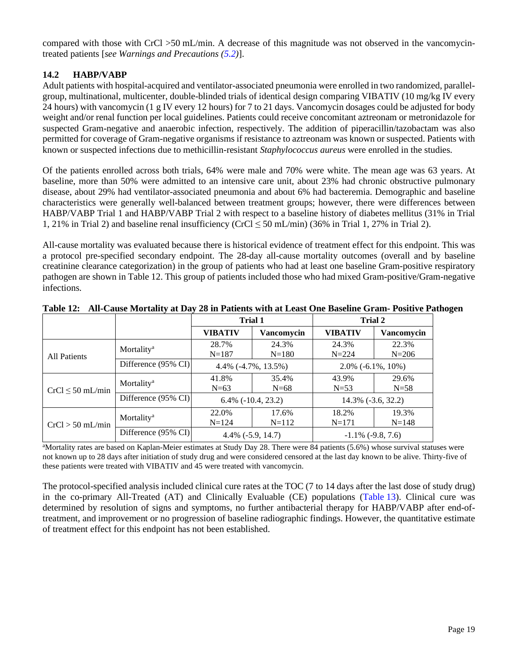compared with those with CrCl >50 mL/min. A decrease of this magnitude was not observed in the vancomycintreated patients [*see Warnings and Precautions [\(5.2\)](#page-4-5)*].

# <span id="page-18-0"></span>**14.2 HABP/VABP**

Adult patients with hospital-acquired and ventilator-associated pneumonia were enrolled in two randomized, parallelgroup, multinational, multicenter, double-blinded trials of identical design comparing VIBATIV (10 mg/kg IV every 24 hours) with vancomycin (1 g IV every 12 hours) for 7 to 21 days. Vancomycin dosages could be adjusted for body weight and/or renal function per local guidelines. Patients could receive concomitant aztreonam or metronidazole for suspected Gram-negative and anaerobic infection, respectively. The addition of piperacillin/tazobactam was also permitted for coverage of Gram-negative organisms if resistance to aztreonam was known or suspected. Patients with known or suspected infections due to methicillin-resistant *Staphylococcus aureus* were enrolled in the studies.

Of the patients enrolled across both trials, 64% were male and 70% were white. The mean age was 63 years. At baseline, more than 50% were admitted to an intensive care unit, about 23% had chronic obstructive pulmonary disease, about 29% had ventilator-associated pneumonia and about 6% had bacteremia. Demographic and baseline characteristics were generally well-balanced between treatment groups; however, there were differences between HABP/VABP Trial 1 and HABP/VABP Trial 2 with respect to a baseline history of diabetes mellitus (31% in Trial 1, 21% in Trial 2) and baseline renal insufficiency (CrCl  $\leq$  50 mL/min) (36% in Trial 1, 27% in Trial 2).

All-cause mortality was evaluated because there is historical evidence of treatment effect for this endpoint. This was a protocol pre-specified secondary endpoint. The 28-day all-cause mortality outcomes (overall and by baseline creatinine clearance categorization) in the group of patients who had at least one baseline Gram-positive respiratory pathogen are shown in Table 12. This group of patients included those who had mixed Gram-positive/Gram-negative infections.

|                       |                                | Trial 1                   |            | Trial 2                  |            |
|-----------------------|--------------------------------|---------------------------|------------|--------------------------|------------|
|                       |                                | <b>VIBATIV</b>            | Vancomycin | <b>VIBATIV</b>           | Vancomycin |
| <b>All Patients</b>   | Mortality <sup>a</sup>         | 28.7%                     | 24.3%      | 24.3%                    | 22.3%      |
|                       |                                | $N = 187$                 | $N = 180$  | $N = 224$                | $N = 206$  |
|                       | Difference (95% CI)            | $4.4\%$ (-4.7%, 13.5%)    |            | $2.0\%$ (-6.1\%, 10\%)   |            |
| $CrCl \leq 50$ mL/min | Mortality <sup>a</sup>         | 41.8%                     | 35.4%      | 43.9%                    | 29.6%      |
|                       |                                | $N=63$                    | $N=68$     | $N=53$                   | $N=58$     |
|                       | Difference $(95\% \text{ CI})$ | $6.4\%$ ( $-10.4$ , 23.2) |            | 14.3% (-3.6, 32.2)       |            |
| $CrCl > 50$ mL/min    | Mortality <sup>a</sup>         | 22.0%                     | 17.6%      | 18.2%                    | 19.3%      |
|                       |                                | $N = 124$                 | $N = 112$  | $N = 171$                | $N = 148$  |
|                       | Difference $(95\% \text{ CI})$ | $4.4\%$ (-5.9, 14.7)      |            | $-1.1\%$ ( $-9.8, 7.6$ ) |            |

**Table 12: All-Cause Mortality at Day 28 in Patients with at Least One Baseline Gram- Positive Pathogen**

a Mortality rates are based on Kaplan-Meier estimates at Study Day 28. There were 84 patients (5.6%) whose survival statuses were not known up to 28 days after initiation of study drug and were considered censored at the last day known to be alive. Thirty-five of these patients were treated with VIBATIV and 45 were treated with vancomycin.

The protocol-specified analysis included clinical cure rates at the TOC (7 to 14 days after the last dose of study drug) in the co-primary All-Treated (AT) and Clinically Evaluable (CE) populations [\(Table](#page-19-2) 13). Clinical cure was determined by resolution of signs and symptoms, no further antibacterial therapy for HABP/VABP after end-oftreatment, and improvement or no progression of baseline radiographic findings. However, the quantitative estimate of treatment effect for this endpoint has not been established.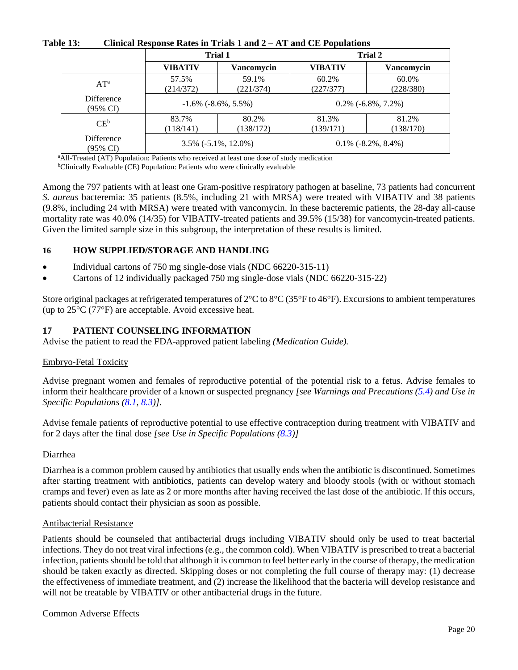| .                      | $\alpha$ control two points rated in Triang T and $\epsilon$ in the CDT operations |                    |                       |                    |  |
|------------------------|------------------------------------------------------------------------------------|--------------------|-----------------------|--------------------|--|
|                        | <b>Trial 1</b>                                                                     |                    | <b>Trial 2</b>        |                    |  |
|                        | <b>VIBATIV</b>                                                                     | <b>Vancomycin</b>  | <b>VIBATIV</b>        | <b>Vancomycin</b>  |  |
| $AT^a$                 | 57.5%<br>(214/372)                                                                 | 59.1%<br>(221/374) | 60.2%<br>(227/377)    | 60.0%<br>(228/380) |  |
| Difference<br>(95% CI) | $-1.6\%$ ( $-8.6\%$ , 5.5%)                                                        |                    | $0.2\%$ (-6.8%, 7.2%) |                    |  |
| $CE^b$                 | 83.7%<br>(118/141)                                                                 | 80.2%<br>(138/172) | 81.3%<br>(139/171)    | 81.2%<br>(138/170) |  |
| Difference<br>(95% CI) | $3.5\%$ ( $-5.1\%$ , $12.0\%$ )                                                    |                    | $0.1\%$ (-8.2%, 8.4%) |                    |  |

<span id="page-19-2"></span>**Table 13: Clinical Response Rates in Trials 1 and 2 – AT and CE Populations**

<sup>a</sup> All-Treated (AT) Population: Patients who received at least one dose of study medication

bClinically Evaluable (CE) Population: Patients who were clinically evaluable

Among the 797 patients with at least one Gram-positive respiratory pathogen at baseline, 73 patients had concurrent *S. aureus* bacteremia: 35 patients (8.5%, including 21 with MRSA) were treated with VIBATIV and 38 patients (9.8%, including 24 with MRSA) were treated with vancomycin. In these bacteremic patients, the 28-day all-cause mortality rate was 40.0% (14/35) for VIBATIV-treated patients and 39.5% (15/38) for vancomycin-treated patients. Given the limited sample size in this subgroup, the interpretation of these results is limited.

## <span id="page-19-1"></span>**16 HOW SUPPLIED/STORAGE AND HANDLING**

- Individual cartons of 750 mg single-dose vials (NDC 66220-315-11)
- Cartons of 12 individually packaged 750 mg single-dose vials (NDC 66220-315-22)

Store original packages at refrigerated temperatures of 2°C to 8°C (35°F to 46°F). Excursions to ambient temperatures (up to 25°C (77°F) are acceptable. Avoid excessive heat.

## <span id="page-19-0"></span>**17 PATIENT COUNSELING INFORMATION**

Advise the patient to read the FDA-approved patient labeling *(Medication Guide).*

### Embryo-Fetal Toxicity

Advise pregnant women and females of reproductive potential of the potential risk to a fetus. Advise females to inform their healthcare provider of a known or suspected pregnancy *[see Warnings and Precautions [\(5.4\)](#page-5-0) and Use in Specific Populations [\(8.1,](#page-9-0) [8.3\)](#page-10-1)].* 

Advise female patients of reproductive potential to use effective contraception during treatment with VIBATIV and for 2 days after the final dose *[see Use in Specific Populations [\(8.3\)](#page-10-1)]*

### Diarrhea

Diarrhea is a common problem caused by antibiotics that usually ends when the antibiotic is discontinued. Sometimes after starting treatment with antibiotics, patients can develop watery and bloody stools (with or without stomach cramps and fever) even as late as 2 or more months after having received the last dose of the antibiotic. If this occurs, patients should contact their physician as soon as possible.

### Antibacterial Resistance

Patients should be counseled that antibacterial drugs including VIBATIV should only be used to treat bacterial infections. They do not treat viral infections (e.g., the common cold). When VIBATIV is prescribed to treat a bacterial infection, patients should be told that although it is common to feel better early in the course of therapy, the medication should be taken exactly as directed. Skipping doses or not completing the full course of therapy may: (1) decrease the effectiveness of immediate treatment, and (2) increase the likelihood that the bacteria will develop resistance and will not be treatable by VIBATIV or other antibacterial drugs in the future.

### Common Adverse Effects